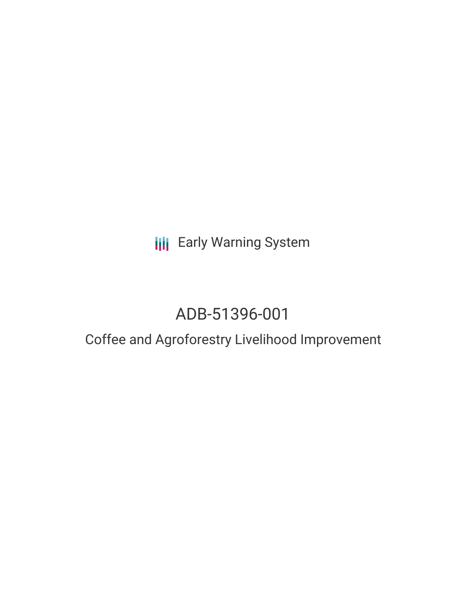**III** Early Warning System

# ADB-51396-001

## Coffee and Agroforestry Livelihood Improvement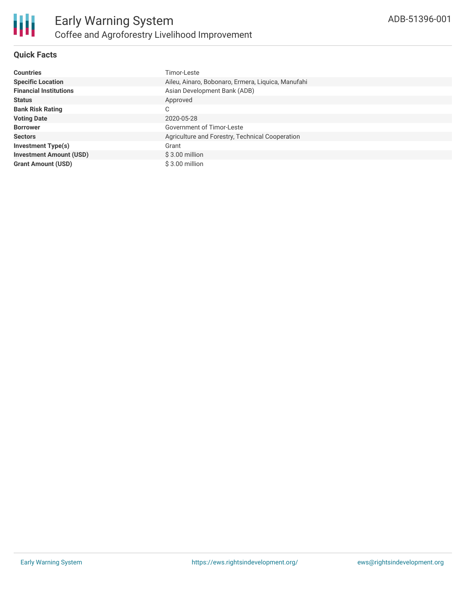

#### **Quick Facts**

| <b>Countries</b>               | Timor-Leste                                        |
|--------------------------------|----------------------------------------------------|
| <b>Specific Location</b>       | Aileu, Ainaro, Bobonaro, Ermera, Liquica, Manufahi |
| <b>Financial Institutions</b>  | Asian Development Bank (ADB)                       |
| <b>Status</b>                  | Approved                                           |
| <b>Bank Risk Rating</b>        | С                                                  |
| <b>Voting Date</b>             | 2020-05-28                                         |
| <b>Borrower</b>                | <b>Government of Timor-Leste</b>                   |
| <b>Sectors</b>                 | Agriculture and Forestry, Technical Cooperation    |
| <b>Investment Type(s)</b>      | Grant                                              |
| <b>Investment Amount (USD)</b> | $$3.00$ million                                    |
| <b>Grant Amount (USD)</b>      | $$3.00$ million                                    |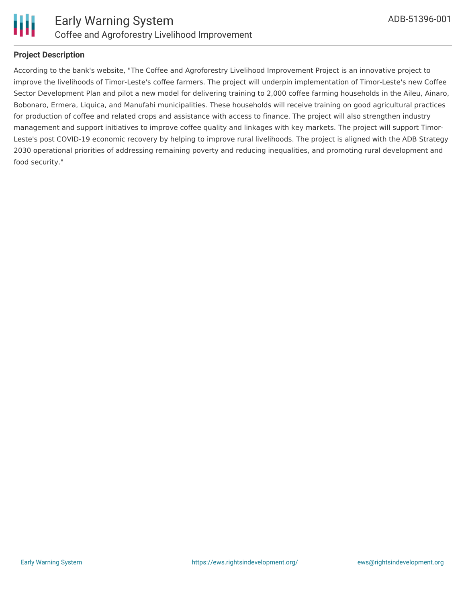

#### **Project Description**

According to the bank's website, "The Coffee and Agroforestry Livelihood Improvement Project is an innovative project to improve the livelihoods of Timor-Leste's coffee farmers. The project will underpin implementation of Timor-Leste's new Coffee Sector Development Plan and pilot a new model for delivering training to 2,000 coffee farming households in the Aileu, Ainaro, Bobonaro, Ermera, Liquica, and Manufahi municipalities. These households will receive training on good agricultural practices for production of coffee and related crops and assistance with access to finance. The project will also strengthen industry management and support initiatives to improve coffee quality and linkages with key markets. The project will support Timor-Leste's post COVID-19 economic recovery by helping to improve rural livelihoods. The project is aligned with the ADB Strategy 2030 operational priorities of addressing remaining poverty and reducing inequalities, and promoting rural development and food security."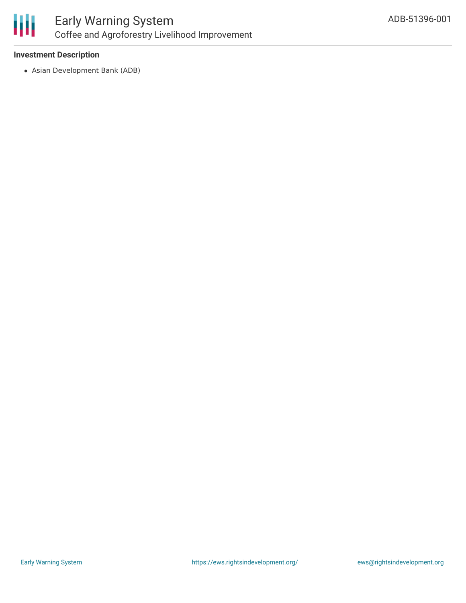

## Early Warning System Coffee and Agroforestry Livelihood Improvement

#### **Investment Description**

Asian Development Bank (ADB)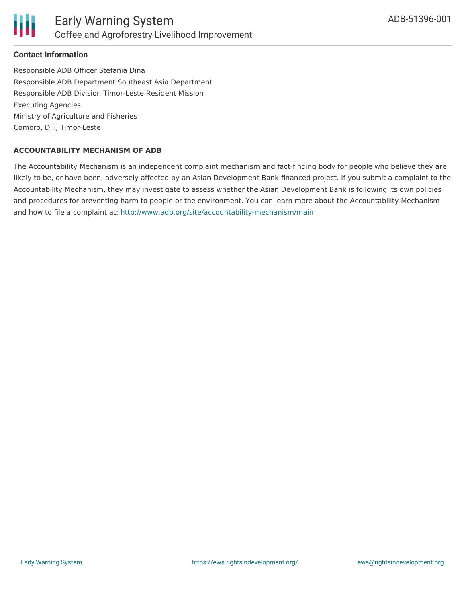

#### **Contact Information**

Responsible ADB Officer Stefania Dina Responsible ADB Department Southeast Asia Department Responsible ADB Division Timor-Leste Resident Mission Executing Agencies Ministry of Agriculture and Fisheries Comoro, Dili, Timor-Leste

#### **ACCOUNTABILITY MECHANISM OF ADB**

The Accountability Mechanism is an independent complaint mechanism and fact-finding body for people who believe they are likely to be, or have been, adversely affected by an Asian Development Bank-financed project. If you submit a complaint to the Accountability Mechanism, they may investigate to assess whether the Asian Development Bank is following its own policies and procedures for preventing harm to people or the environment. You can learn more about the Accountability Mechanism and how to file a complaint at: <http://www.adb.org/site/accountability-mechanism/main>